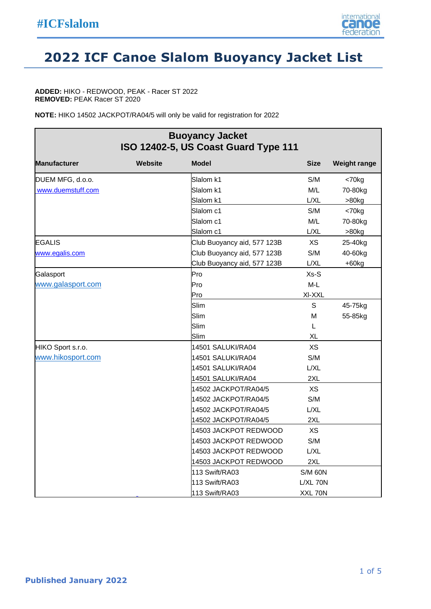

## **2022 ICF Canoe Slalom Buoyancy Jacket List**

**ADDED:** HIKO - REDWOOD, PEAK - Racer ST 2022 **REMOVED:** PEAK Racer ST 2020

**NOTE:** HIKO 14502 JACKPOT/RA04/5 will only be valid for registration for 2022

| <b>Buoyancy Jacket</b><br>ISO 12402-5, US Coast Guard Type 111 |                |                             |                |                     |  |  |
|----------------------------------------------------------------|----------------|-----------------------------|----------------|---------------------|--|--|
| <b>Manufacturer</b>                                            | <b>Website</b> | <b>Model</b>                | <b>Size</b>    | <b>Weight range</b> |  |  |
| DUEM MFG, d.o.o.                                               |                | Slalom k1                   | S/M            | < 70 kg             |  |  |
| www.duemstuff.com                                              |                | Slalom k1                   | M/L            | 70-80kg             |  |  |
|                                                                |                | Slalom k1                   | L/XL           | $>80$ kg            |  |  |
|                                                                |                | Slalom <sub>c1</sub>        | S/M            | $< 70$ kg           |  |  |
|                                                                |                | Slalom <sub>c1</sub>        | M/L            | 70-80kg             |  |  |
|                                                                |                | Slalom <sub>c1</sub>        | L/XL           | >80kg               |  |  |
| <b>EGALIS</b>                                                  |                | Club Buoyancy aid, 577 123B | <b>XS</b>      | 25-40kg             |  |  |
| www.egalis.com                                                 |                | Club Buoyancy aid, 577 123B | S/M            | 40-60kg             |  |  |
|                                                                |                | Club Buoyancy aid, 577 123B | L/XL           | $+60kg$             |  |  |
| Galasport                                                      |                | Pro                         | $Xs-S$         |                     |  |  |
| www.galasport.com                                              |                | Pro                         | $M-L$          |                     |  |  |
|                                                                |                | Pro                         | XI-XXL         |                     |  |  |
|                                                                |                | Slim                        | S              | 45-75kg             |  |  |
|                                                                |                | Slim                        | M              | 55-85kg             |  |  |
|                                                                |                | Slim                        | L              |                     |  |  |
|                                                                |                | Slim                        | <b>XL</b>      |                     |  |  |
| HIKO Sport s.r.o.                                              |                | <b>14501 SALUKI/RA04</b>    | <b>XS</b>      |                     |  |  |
| www.hikosport.com                                              |                | 14501 SALUKI/RA04           | S/M            |                     |  |  |
|                                                                |                | <b>14501 SALUKI/RA04</b>    | L/XL           |                     |  |  |
|                                                                |                | 14501 SALUKI/RA04           | 2XL            |                     |  |  |
|                                                                |                | 14502 JACKPOT/RA04/5        | <b>XS</b>      |                     |  |  |
|                                                                |                | 14502 JACKPOT/RA04/5        | S/M            |                     |  |  |
|                                                                |                | 14502 JACKPOT/RA04/5        | L/XL           |                     |  |  |
|                                                                |                | 14502 JACKPOT/RA04/5        | 2XL            |                     |  |  |
|                                                                |                | 14503 JACKPOT REDWOOD       | <b>XS</b>      |                     |  |  |
|                                                                |                | 14503 JACKPOT REDWOOD       | S/M            |                     |  |  |
|                                                                |                | 14503 JACKPOT REDWOOD       | L/XL           |                     |  |  |
|                                                                |                | 14503 JACKPOT REDWOOD       | 2XL            |                     |  |  |
|                                                                |                | 113 Swift/RA03              | <b>S/M 60N</b> |                     |  |  |
|                                                                |                | 113 Swift/RA03              | L/XL 70N       |                     |  |  |
|                                                                |                | 113 Swift/RA03              | XXL 70N        |                     |  |  |